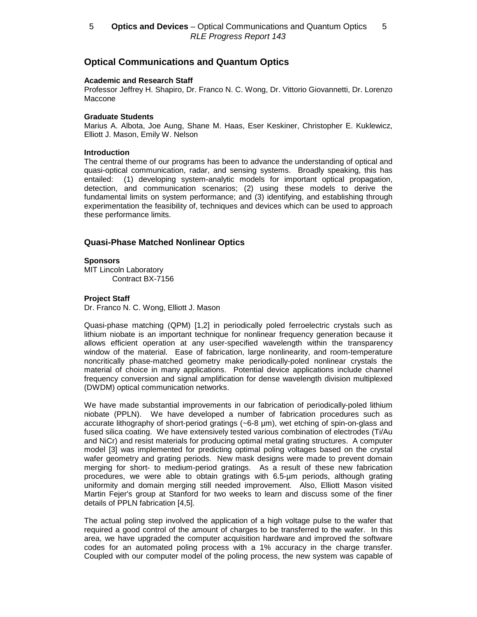# **Optical Communications and Quantum Optics**

#### **Academic and Research Staff**

Professor Jeffrey H. Shapiro, Dr. Franco N. C. Wong, Dr. Vittorio Giovannetti, Dr. Lorenzo Maccone

#### **Graduate Students**

Marius A. Albota, Joe Aung, Shane M. Haas, Eser Keskiner, Christopher E. Kuklewicz, Elliott J. Mason, Emily W. Nelson

#### **Introduction**

The central theme of our programs has been to advance the understanding of optical and quasi-optical communication, radar, and sensing systems. Broadly speaking, this has entailed: (1) developing system-analytic models for important optical propagation, detection, and communication scenarios; (2) using these models to derive the fundamental limits on system performance; and (3) identifying, and establishing through experimentation the feasibility of, techniques and devices which can be used to approach these performance limits.

# **Quasi-Phase Matched Nonlinear Optics**

#### **Sponsors**

MIT Lincoln Laboratory Contract BX-7156

#### **Project Staff**

Dr. Franco N. C. Wong, Elliott J. Mason

Quasi-phase matching (QPM) [1,2] in periodically poled ferroelectric crystals such as lithium niobate is an important technique for nonlinear frequency generation because it allows efficient operation at any user-specified wavelength within the transparency window of the material. Ease of fabrication, large nonlinearity, and room-temperature noncritically phase-matched geometry make periodically-poled nonlinear crystals the material of choice in many applications. Potential device applications include channel frequency conversion and signal amplification for dense wavelength division multiplexed (DWDM) optical communication networks.

We have made substantial improvements in our fabrication of periodically-poled lithium niobate (PPLN). We have developed a number of fabrication procedures such as accurate lithography of short-period gratings (~6-8 µm), wet etching of spin-on-glass and fused silica coating. We have extensively tested various combination of electrodes (Ti/Au and NiCr) and resist materials for producing optimal metal grating structures. A computer model [3] was implemented for predicting optimal poling voltages based on the crystal wafer geometry and grating periods. New mask designs were made to prevent domain merging for short- to medium-period gratings. As a result of these new fabrication procedures, we were able to obtain gratings with 6.5-µm periods, although grating uniformity and domain merging still needed improvement. Also, Elliott Mason visited Martin Fejer's group at Stanford for two weeks to learn and discuss some of the finer details of PPLN fabrication [4,5].

The actual poling step involved the application of a high voltage pulse to the wafer that required a good control of the amount of charges to be transferred to the wafer. In this area, we have upgraded the computer acquisition hardware and improved the software codes for an automated poling process with a 1% accuracy in the charge transfer. Coupled with our computer model of the poling process, the new system was capable of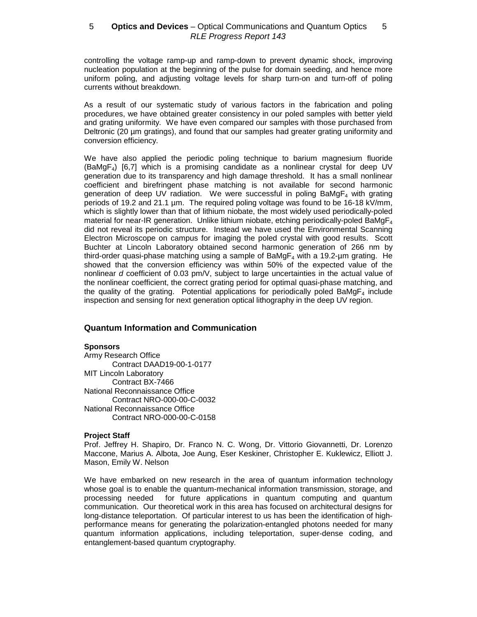controlling the voltage ramp-up and ramp-down to prevent dynamic shock, improving nucleation population at the beginning of the pulse for domain seeding, and hence more uniform poling, and adjusting voltage levels for sharp turn-on and turn-off of poling currents without breakdown.

As a result of our systematic study of various factors in the fabrication and poling procedures, we have obtained greater consistency in our poled samples with better yield and grating uniformity. We have even compared our samples with those purchased from Deltronic (20 µm gratings), and found that our samples had greater grating uniformity and conversion efficiency.

We have also applied the periodic poling technique to barium magnesium fluoride  $(BaMgF<sub>4</sub>)$  [6,7] which is a promising candidate as a nonlinear crystal for deep UV generation due to its transparency and high damage threshold. It has a small nonlinear coefficient and birefringent phase matching is not available for second harmonic generation of deep UV radiation. We were successful in poling  $BaMgF<sub>4</sub>$  with grating periods of 19.2 and 21.1 µm. The required poling voltage was found to be 16-18 kV/mm, which is slightly lower than that of lithium niobate, the most widely used periodically-poled material for near-IR generation. Unlike lithium niobate, etching periodically-poled BaMg $F_4$ did not reveal its periodic structure. Instead we have used the Environmental Scanning Electron Microscope on campus for imaging the poled crystal with good results. Scott Buchter at Lincoln Laboratory obtained second harmonic generation of 266 nm by third-order quasi-phase matching using a sample of BaMg $F_4$  with a 19.2-um grating. He showed that the conversion efficiency was within 50% of the expected value of the nonlinear d coefficient of 0.03 pm/V, subject to large uncertainties in the actual value of the nonlinear coefficient, the correct grating period for optimal quasi-phase matching, and the quality of the grating. Potential applications for periodically poled  $BaMgF<sub>4</sub>$  include inspection and sensing for next generation optical lithography in the deep UV region.

# **Quantum Information and Communication**

# **Sponsors**

Army Research Office Contract DAAD19-00-1-0177 MIT Lincoln Laboratory Contract BX-7466 National Reconnaissance Office Contract NRO-000-00-C-0032 National Reconnaissance Office Contract NRO-000-00-C-0158

# **Project Staff**

Prof. Jeffrey H. Shapiro, Dr. Franco N. C. Wong, Dr. Vittorio Giovannetti, Dr. Lorenzo Maccone, Marius A. Albota, Joe Aung, Eser Keskiner, Christopher E. Kuklewicz, Elliott J. Mason, Emily W. Nelson

We have embarked on new research in the area of quantum information technology whose goal is to enable the quantum-mechanical information transmission, storage, and processing needed for future applications in quantum computing and quantum communication. Our theoretical work in this area has focused on architectural designs for long-distance teleportation. Of particular interest to us has been the identification of highperformance means for generating the polarization-entangled photons needed for many quantum information applications, including teleportation, super-dense coding, and entanglement-based quantum cryptography.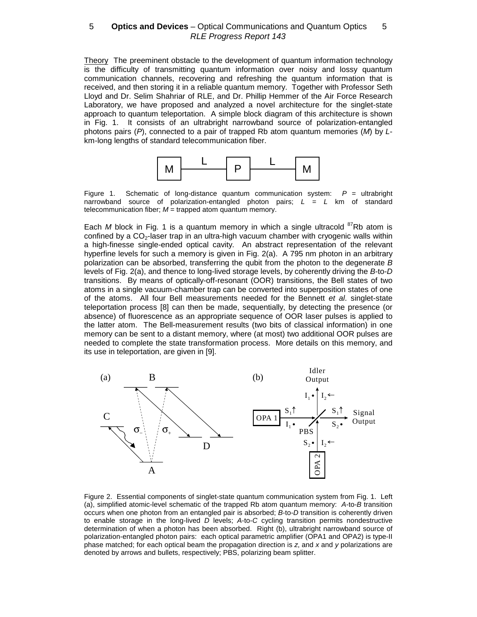Theory The preeminent obstacle to the development of quantum information technology is the difficulty of transmitting quantum information over noisy and lossy quantum communication channels, recovering and refreshing the quantum information that is received, and then storing it in a reliable quantum memory. Together with Professor Seth Lloyd and Dr. Selim Shahriar of RLE, and Dr. Phillip Hemmer of the Air Force Research Laboratory, we have proposed and analyzed a novel architecture for the singlet-state approach to quantum teleportation. A simple block diagram of this architecture is shown in Fig. 1. It consists of an ultrabright narrowband source of polarization-entangled photons pairs  $(P)$ , connected to a pair of trapped Rb atom quantum memories  $(M)$  by Lkm-long lengths of standard telecommunication fiber.



Figure 1. Schematic of long-distance quantum communication system:  $P =$  ultrabright narrowband source of polarization-entangled photon pairs;  $L = L$  km of standard telecommunication fiber;  $M =$  trapped atom quantum memory.

Each M block in Fig. 1 is a quantum memory in which a single ultracold  $87Rb$  atom is confined by a  $CO<sub>2</sub>$ -laser trap in an ultra-high vacuum chamber with cryogenic walls within a high-finesse single-ended optical cavity. An abstract representation of the relevant hyperfine levels for such a memory is given in Fig. 2(a). A 795 nm photon in an arbitrary polarization can be absorbed, transferring the qubit from the photon to the degenerate  $B$ levels of Fig. 2(a), and thence to long-lived storage levels, by coherently driving the B-to-D transitions. By means of optically-off-resonant (OOR) transitions, the Bell states of two atoms in a single vacuum-chamber trap can be converted into superposition states of one of the atoms. All four Bell measurements needed for the Bennett et al. singlet-state teleportation process [8] can then be made, sequentially, by detecting the presence (or absence) of fluorescence as an appropriate sequence of OOR laser pulses is applied to the latter atom. The Bell-measurement results (two bits of classical information) in one memory can be sent to a distant memory, where (at most) two additional OOR pulses are needed to complete the state transformation process. More details on this memory, and its use in teleportation, are given in [9].



Figure 2. Essential components of singlet-state quantum communication system from Fig. 1. Left (a), simplified atomic-level schematic of the trapped Rb atom quantum memory: A-to-B transition occurs when one photon from an entangled pair is absorbed; B-to-D transition is coherently driven to enable storage in the long-lived  $D$  levels;  $A$ -to- $C$  cycling transition permits nondestructive determination of when a photon has been absorbed. Right (b), ultrabright narrowband source of polarization-entangled photon pairs: each optical parametric amplifier (OPA1 and OPA2) is type-II phase matched; for each optical beam the propagation direction is z, and x and y polarizations are denoted by arrows and bullets, respectively; PBS, polarizing beam splitter.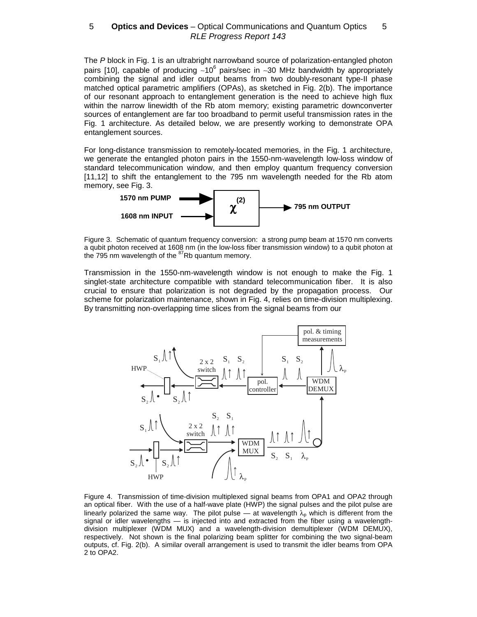The P block in Fig. 1 is an ultrabright narrowband source of polarization-entangled photon pairs [10], capable of producing ~10<sup>6</sup> pairs/sec in ~30 MHz bandwidth by appropriately combining the signal and idler output beams from two doubly-resonant type-II phase matched optical parametric amplifiers (OPAs), as sketched in Fig. 2(b). The importance of our resonant approach to entanglement generation is the need to achieve high flux within the narrow linewidth of the Rb atom memory; existing parametric downconverter sources of entanglement are far too broadband to permit useful transmission rates in the Fig. 1 architecture. As detailed below, we are presently working to demonstrate OPA entanglement sources.

For long-distance transmission to remotely-located memories, in the Fig. 1 architecture, we generate the entangled photon pairs in the 1550-nm-wavelength low-loss window of standard telecommunication window, and then employ quantum frequency conversion [11,12] to shift the entanglement to the 795 nm wavelength needed for the Rb atom memory, see Fig. 3.



Figure 3. Schematic of quantum frequency conversion: a strong pump beam at 1570 nm converts a qubit photon received at 1608 nm (in the low-loss fiber transmission window) to a qubit photon at the 795 nm wavelength of the <sup>87</sup>Rb quantum memory.

Transmission in the 1550-nm-wavelength window is not enough to make the Fig. 1 singlet-state architecture compatible with standard telecommunication fiber. It is also crucial to ensure that polarization is not degraded by the propagation process. Our scheme for polarization maintenance, shown in Fig. 4, relies on time-division multiplexing. By transmitting non-overlapping time slices from the signal beams from our



Figure 4. Transmission of time-division multiplexed signal beams from OPA1 and OPA2 through an optical fiber. With the use of a half-wave plate (HWP) the signal pulses and the pilot pulse are linearly polarized the same way. The pilot pulse — at wavelength  $\lambda_p$  which is different from the signal or idler wavelengths — is injected into and extracted from the fiber using a wavelengthdivision multiplexer (WDM MUX) and a wavelength-division demultiplexer (WDM DEMUX), respectively. Not shown is the final polarizing beam splitter for combining the two signal-beam outputs, cf. Fig. 2(b). A similar overall arrangement is used to transmit the idler beams from OPA 2 to OPA2.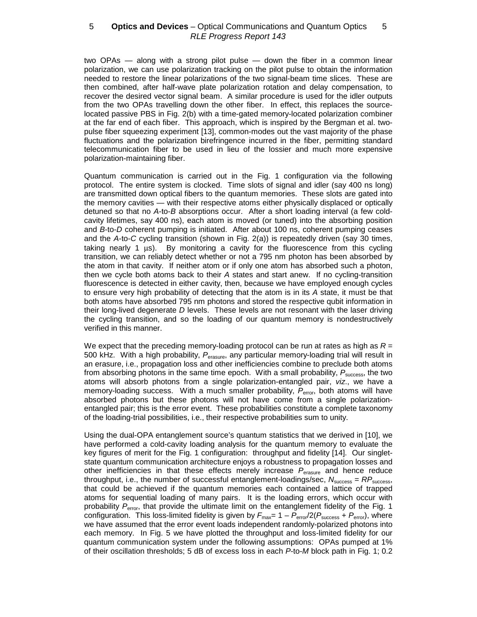two OPAs — along with a strong pilot pulse — down the fiber in a common linear polarization, we can use polarization tracking on the pilot pulse to obtain the information needed to restore the linear polarizations of the two signal-beam time slices. These are then combined, after half-wave plate polarization rotation and delay compensation, to recover the desired vector signal beam. A similar procedure is used for the idler outputs from the two OPAs travelling down the other fiber. In effect, this replaces the sourcelocated passive PBS in Fig. 2(b) with a time-gated memory-located polarization combiner at the far end of each fiber. This approach, which is inspired by the Bergman et al. twopulse fiber squeezing experiment [13], common-modes out the vast majority of the phase fluctuations and the polarization birefringence incurred in the fiber, permitting standard telecommunication fiber to be used in lieu of the lossier and much more expensive polarization-maintaining fiber.

Quantum communication is carried out in the Fig. 1 configuration via the following protocol. The entire system is clocked. Time slots of signal and idler (say 400 ns long) are transmitted down optical fibers to the quantum memories. These slots are gated into the memory cavities — with their respective atoms either physically displaced or optically detuned so that no A-to-B absorptions occur. After a short loading interval (a few coldcavity lifetimes, say 400 ns), each atom is moved (or tuned) into the absorbing position and B-to-D coherent pumping is initiated. After about 100 ns, coherent pumping ceases and the A-to-C cycling transition (shown in Fig. 2(a)) is repeatedly driven (say 30 times, taking nearly 1  $\mu s$ ). By monitoring a cavity for the fluorescence from this cycling transition, we can reliably detect whether or not a 795 nm photon has been absorbed by the atom in that cavity. If neither atom or if only one atom has absorbed such a photon, then we cycle both atoms back to their A states and start anew. If no cycling-transition fluorescence is detected in either cavity, then, because we have employed enough cycles to ensure very high probability of detecting that the atom is in its A state, it must be that both atoms have absorbed 795 nm photons and stored the respective qubit information in their long-lived degenerate  $D$  levels. These levels are not resonant with the laser driving the cycling transition, and so the loading of our quantum memory is nondestructively verified in this manner.

We expect that the preceding memory-loading protocol can be run at rates as high as  $R =$ 500 kHz. With a high probability, P<sub>erasure</sub>, any particular memory-loading trial will result in an erasure, i.e., propagation loss and other inefficiencies combine to preclude both atoms from absorbing photons in the same time epoch. With a small probability,  $P_{\text{success}}$ , the two atoms will absorb photons from a single polarization-entangled pair, viz., we have a memory-loading success. With a much smaller probability,  $P_{\text{error}}$ , both atoms will have absorbed photons but these photons will not have come from a single polarizationentangled pair; this is the error event. These probabilities constitute a complete taxonomy of the loading-trial possibilities, i.e., their respective probabilities sum to unity.

Using the dual-OPA entanglement source's quantum statistics that we derived in [10], we have performed a cold-cavity loading analysis for the quantum memory to evaluate the key figures of merit for the Fig. 1 configuration: throughput and fidelity [14]. Our singletstate quantum communication architecture enjoys a robustness to propagation losses and other inefficiencies in that these effects merely increase  $P_{\text{erasure}}$  and hence reduce throughput, i.e., the number of successful entanglement-loadings/sec,  $N_{\text{success}} = RP_{\text{success}}$ , that could be achieved if the quantum memories each contained a lattice of trapped atoms for sequential loading of many pairs. It is the loading errors, which occur with probability  $P_{\text{error}}$ , that provide the ultimate limit on the entanglement fidelity of the Fig. 1 configuration. This loss-limited fidelity is given by  $F_{\text{max}} = 1 - P_{\text{error}}/2(P_{\text{success}} + P_{\text{error}})$ , where we have assumed that the error event loads independent randomly-polarized photons into each memory. In Fig. 5 we have plotted the throughput and loss-limited fidelity for our quantum communication system under the following assumptions: OPAs pumped at 1% of their oscillation thresholds; 5 dB of excess loss in each P-to-M block path in Fig. 1; 0.2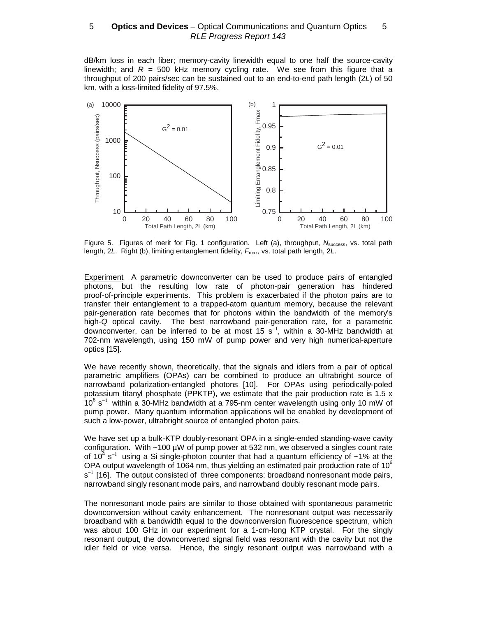dB/km loss in each fiber; memory-cavity linewidth equal to one half the source-cavity linewidth; and  $R = 500$  kHz memory cycling rate. We see from this figure that a throughput of 200 pairs/sec can be sustained out to an end-to-end path length (2L) of 50 km, with a loss-limited fidelity of 97.5%.



Figure 5. Figures of merit for Fig. 1 configuration. Left (a), throughput,  $N_{\text{success}}$ , vs. total path length,  $2L$ . Right (b), limiting entanglement fidelity,  $F_{\text{max}}$ , vs. total path length,  $2L$ .

Experiment A parametric downconverter can be used to produce pairs of entangled photons, but the resulting low rate of photon-pair generation has hindered proof-of-principle experiments. This problem is exacerbated if the photon pairs are to transfer their entanglement to a trapped-atom quantum memory, because the relevant pair-generation rate becomes that for photons within the bandwidth of the memory's high-Q optical cavity. The best narrowband pair-generation rate, for a parametric downconverter, can be inferred to be at most 15 s<sup>-1</sup>, within a 30-MHz bandwidth at 702-nm wavelength, using 150 mW of pump power and very high numerical-aperture optics [15].

We have recently shown, theoretically, that the signals and idlers from a pair of optical parametric amplifiers (OPAs) can be combined to produce an ultrabright source of narrowband polarization-entangled photons [10]. For OPAs using periodically-poled potassium titanyl phosphate (PPKTP), we estimate that the pair production rate is 1.5 x  $10^6$  s<sup>-1</sup> within a 30-MHz bandwidth at a 795-nm center wavelength using only 10 mW of pump power. Many quantum information applications will be enabled by development of such a low-power, ultrabright source of entangled photon pairs.

We have set up a bulk-KTP doubly-resonant OPA in a single-ended standing-wave cavity configuration. With  $\sim$ 100 µW of pump power at 532 nm, we observed a singles count rate of 10<sup>4</sup> s<sup>−1</sup> using a Si single-photon counter that had a quantum efficiency of ~1% at the OPA output wavelength of 1064 nm, thus yielding an estimated pair production rate of 10 $^6$ s<sup>-1</sup> [16]. The output consisted of three components: broadband nonresonant mode pairs, narrowband singly resonant mode pairs, and narrowband doubly resonant mode pairs.

The nonresonant mode pairs are similar to those obtained with spontaneous parametric downconversion without cavity enhancement. The nonresonant output was necessarily broadband with a bandwidth equal to the downconversion fluorescence spectrum, which was about 100 GHz in our experiment for a 1-cm-long KTP crystal. For the singly resonant output, the downconverted signal field was resonant with the cavity but not the idler field or vice versa. Hence, the singly resonant output was narrowband with a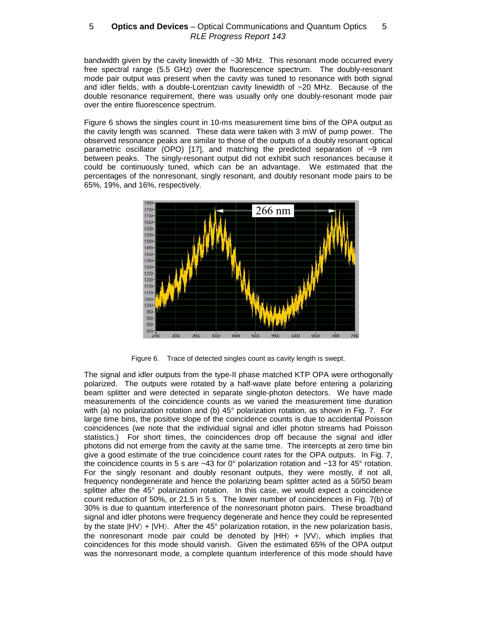bandwidth given by the cavity linewidth of ~30 MHz. This resonant mode occurred every free spectral range (5.5 GHz) over the fluorescence spectrum. The doubly-resonant mode pair output was present when the cavity was tuned to resonance with both signal and idler fields, with a double-Lorentzian cavity linewidth of ~20 MHz. Because of the double resonance requirement, there was usually only one doubly-resonant mode pair over the entire fluorescence spectrum.

Figure 6 shows the singles count in 10-ms measurement time bins of the OPA output as the cavity length was scanned. These data were taken with 3 mW of pump power. The observed resonance peaks are similar to those of the outputs of a doubly resonant optical parametric oscillator (OPO) [17], and matching the predicted separation of  $\sim 9$  nm between peaks. The singly-resonant output did not exhibit such resonances because it could be continuously tuned, which can be an advantage. We estimated that the percentages of the nonresonant, singly resonant, and doubly resonant mode pairs to be 65%, 19%, and 16%, respectively.



Figure 6. Trace of detected singles count as cavity length is swept.

The signal and idler outputs from the type-II phase matched KTP OPA were orthogonally polarized. The outputs were rotated by a half-wave plate before entering a polarizing beam splitter and were detected in separate single-photon detectors. We have made measurements of the coincidence counts as we varied the measurement time duration with (a) no polarization rotation and (b) 45° polarization rotation, as shown in Fig. 7. For large time bins, the positive slope of the coincidence counts is due to accidental Poisson coincidences (we note that the individual signal and idler photon streams had Poisson statistics.) For short times, the coincidences drop off because the signal and idler photons did not emerge from the cavity at the same time. The intercepts at zero time bin give a good estimate of the true coincidence count rates for the OPA outputs. In Fig. 7, the coincidence counts in 5 s are  $\sim$  43 for 0 $^{\circ}$  polarization rotation and  $\sim$  13 for 45 $^{\circ}$  rotation. For the singly resonant and doubly resonant outputs, they were mostly, if not all, frequency nondegenerate and hence the polarizing beam splitter acted as a 50/50 beam splitter after the 45° polarization rotation. In this case, we would expect a coincidence count reduction of 50%, or 21.5 in 5 s. The lower number of coincidences in Fig. 7(b) of 30% is due to quantum interference of the nonresonant photon pairs. These broadband signal and idler photons were frequency degenerate and hence they could be represented by the state  $|HV\rangle + |VH\rangle$ . After the 45° polarization rotation, in the new polarization basis, the nonresonant mode pair could be denoted by  $|HH\rangle + |VV\rangle$ , which implies that coincidences for this mode should vanish. Given the estimated 65% of the OPA output was the nonresonant mode, a complete quantum interference of this mode should have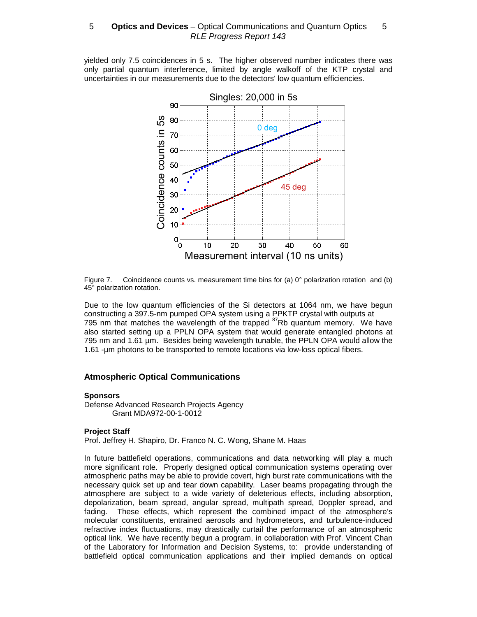yielded only 7.5 coincidences in 5 s. The higher observed number indicates there was only partial quantum interference, limited by angle walkoff of the KTP crystal and uncertainties in our measurements due to the detectors' low quantum efficiencies.



Figure 7. Coincidence counts vs. measurement time bins for (a)  $0^{\circ}$  polarization rotation and (b) 45° polarization rotation.

Due to the low quantum efficiencies of the Si detectors at 1064 nm, we have begun constructing a 397.5-nm pumped OPA system using a PPKTP crystal with outputs at 795 nm that matches the wavelength of the trapped  $^{87}$ Rb quantum memory. We have also started setting up a PPLN OPA system that would generate entangled photons at 795 nm and 1.61 µm. Besides being wavelength tunable, the PPLN OPA would allow the 1.61 -µm photons to be transported to remote locations via low-loss optical fibers.

# **Atmospheric Optical Communications**

#### **Sponsors**

Defense Advanced Research Projects Agency Grant MDA972-00-1-0012

# **Project Staff**

Prof. Jeffrey H. Shapiro, Dr. Franco N. C. Wong, Shane M. Haas

In future battlefield operations, communications and data networking will play a much more significant role. Properly designed optical communication systems operating over atmospheric paths may be able to provide covert, high burst rate communications with the necessary quick set up and tear down capability. Laser beams propagating through the atmosphere are subject to a wide variety of deleterious effects, including absorption, depolarization, beam spread, angular spread, multipath spread, Doppler spread, and fading. These effects, which represent the combined impact of the atmosphere's molecular constituents, entrained aerosols and hydrometeors, and turbulence-induced refractive index fluctuations, may drastically curtail the performance of an atmospheric optical link. We have recently begun a program, in collaboration with Prof. Vincent Chan of the Laboratory for Information and Decision Systems, to: provide understanding of battlefield optical communication applications and their implied demands on optical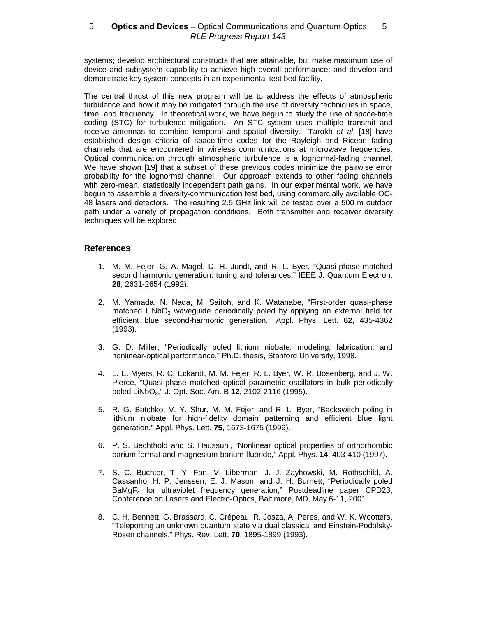systems; develop architectural constructs that are attainable, but make maximum use of device and subsystem capability to achieve high overall performance; and develop and demonstrate key system concepts in an experimental test bed facility.

The central thrust of this new program will be to address the effects of atmospheric turbulence and how it may be mitigated through the use of diversity techniques in space, time, and frequency. In theoretical work, we have begun to study the use of space-time coding (STC) for turbulence mitigation. An STC system uses multiple transmit and receive antennas to combine temporal and spatial diversity. Tarokh et al. [18] have established design criteria of space-time codes for the Rayleigh and Ricean fading channels that are encountered in wireless communications at microwave frequencies. Optical communication through atmospheric turbulence is a lognormal-fading channel. We have shown [19] that a subset of these previous codes minimize the pairwise error probability for the lognormal channel. Our approach extends to other fading channels with zero-mean, statistically independent path gains. In our experimental work, we have begun to assemble a diversity-communication test bed, using commercially available OC-48 lasers and detectors. The resulting 2.5 GHz link will be tested over a 500 m outdoor path under a variety of propagation conditions. Both transmitter and receiver diversity techniques will be explored.

# **References**

- 1. M. M. Fejer, G. A. Magel, D. H. Jundt, and R. L. Byer, "Quasi-phase-matched second harmonic generation: tuning and tolerances," IEEE J. Quantum Electron. **28**, 2631-2654 (1992).
- 2. M. Yamada, N. Nada, M. Saitoh, and K. Watanabe, "First-order quasi-phase matched  $LiNbO<sub>3</sub>$  waveguide periodically poled by applying an external field for efficient blue second-harmonic generation," Appl. Phys. Lett. **62**, 435-4362 (1993).
- 3. G. D. Miller, "Periodically poled lithium niobate: modeling, fabrication, and nonlinear-optical performance," Ph.D. thesis, Stanford University, 1998.
- 4. L. E. Myers, R. C. Eckardt, M. M. Fejer, R. L. Byer, W. R. Bosenberg, and J. W. Pierce, "Quasi-phase matched optical parametric oscillators in bulk periodically poled LiNbO3," J. Opt. Soc. Am. B **12**, 2102-2116 (1995).
- 5. R. G. Batchko, V. Y. Shur, M. M. Fejer, and R. L. Byer, "Backswitch poling in lithium niobate for high-fidelity domain patterning and efficient blue light generation," Appl. Phys. Lett. **75**, 1673-1675 (1999).
- 6. P. S. Bechthold and S. Haussühl, "Nonlinear optical properties of orthorhombic barium format and magnesium barium fluoride," Appl. Phys. **14**, 403-410 (1997).
- 7. S. C. Buchter, T. Y. Fan, V. Liberman, J. J. Zayhowski, M. Rothschild, A. Cassanho, H. P. Jenssen, E. J. Mason, and J. H. Burnett, "Periodically poled BaMgF4 for ultraviolet frequency generation," Postdeadline paper CPD23, Conference on Lasers and Electro-Optics, Baltimore, MD, May 6-11, 2001.
- 8. C. H. Bennett, G. Brassard, C. Crépeau, R. Josza, A. Peres, and W. K. Wootters, "Teleporting an unknown quantum state via dual classical and Einstein-Podolsky-Rosen channels," Phys. Rev. Lett. **70**, 1895-1899 (1993).